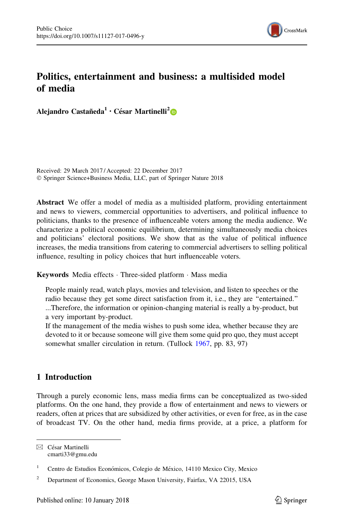

# Politics, entertainment and business: a multisided model of media

Alejandro Castañeda<sup>1</sup> · César Martinelli<sup>2</sup>

Received: 29 March 2017 / Accepted: 22 December 2017 - Springer Science+Business Media, LLC, part of Springer Nature 2018

Abstract We offer a model of media as a multisided platform, providing entertainment and news to viewers, commercial opportunities to advertisers, and political influence to politicians, thanks to the presence of influenceable voters among the media audience. We characterize a political economic equilibrium, determining simultaneously media choices and politicians' electoral positions. We show that as the value of political influence increases, the media transitions from catering to commercial advertisers to selling political influence, resulting in policy choices that hurt influenceable voters.

Keywords Media effects - Three-sided platform - Mass media

People mainly read, watch plays, movies and television, and listen to speeches or the radio because they get some direct satisfaction from it, i.e., they are "entertained." ...Therefore, the information or opinion-changing material is really a by-product, but a very important by-product.

If the management of the media wishes to push some idea, whether because they are devoted to it or because someone will give them some quid pro quo, they must accept somewhat smaller circulation in return. (Tullock [1967](#page-17-0), pp. 83, 97)

## 1 Introduction

Through a purely economic lens, mass media firms can be conceptualized as two-sided platforms. On the one hand, they provide a flow of entertainment and news to viewers or readers, often at prices that are subsidized by other activities, or even for free, as in the case of broadcast TV. On the other hand, media firms provide, at a price, a platform for

 $\boxtimes$  César Martinelli cmarti33@gmu.edu

<sup>&</sup>lt;sup>1</sup> Centro de Estudios Económicos, Colegio de México, 14110 Mexico City, Mexico

<sup>&</sup>lt;sup>2</sup> Department of Economics, George Mason University, Fairfax, VA 22015, USA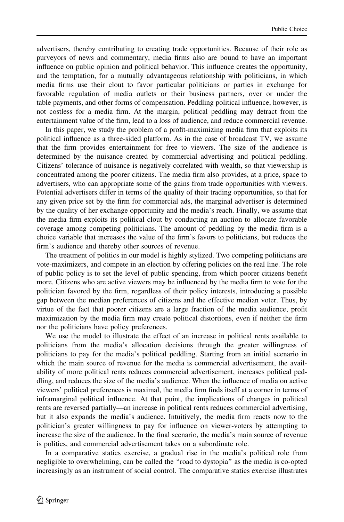advertisers, thereby contributing to creating trade opportunities. Because of their role as purveyors of news and commentary, media firms also are bound to have an important influence on public opinion and political behavior. This influence creates the opportunity, and the temptation, for a mutually advantageous relationship with politicians, in which media firms use their clout to favor particular politicians or parties in exchange for favorable regulation of media outlets or their business partners, over or under the table payments, and other forms of compensation. Peddling political influence, however, is not costless for a media firm. At the margin, political peddling may detract from the entertainment value of the firm, lead to a loss of audience, and reduce commercial revenue.

In this paper, we study the problem of a profit-maximizing media firm that exploits its political influence as a three-sided platform. As in the case of broadcast TV, we assume that the firm provides entertainment for free to viewers. The size of the audience is determined by the nuisance created by commercial advertising and political peddling. Citizens' tolerance of nuisance is negatively correlated with wealth, so that viewership is concentrated among the poorer citizens. The media firm also provides, at a price, space to advertisers, who can appropriate some of the gains from trade opportunities with viewers. Potential advertisers differ in terms of the quality of their trading opportunities, so that for any given price set by the firm for commercial ads, the marginal advertiser is determined by the quality of her exchange opportunity and the media's reach. Finally, we assume that the media firm exploits its political clout by conducting an auction to allocate favorable coverage among competing politicians. The amount of peddling by the media firm is a choice variable that increases the value of the firm's favors to politicians, but reduces the firm's audience and thereby other sources of revenue.

The treatment of politics in our model is highly stylized. Two competing politicians are vote-maximizers, and compete in an election by offering policies on the real line. The role of public policy is to set the level of public spending, from which poorer citizens benefit more. Citizens who are active viewers may be influenced by the media firm to vote for the politician favored by the firm, regardless of their policy interests, introducing a possible gap between the median preferences of citizens and the effective median voter. Thus, by virtue of the fact that poorer citizens are a large fraction of the media audience, profit maximization by the media firm may create political distortions, even if neither the firm nor the politicians have policy preferences.

We use the model to illustrate the effect of an increase in political rents available to politicians from the media's allocation decisions through the greater willingness of politicians to pay for the media's political peddling. Starting from an initial scenario in which the main source of revenue for the media is commercial advertisement, the availability of more political rents reduces commercial advertisement, increases political peddling, and reduces the size of the media's audience. When the influence of media on active viewers' political preferences is maximal, the media firm finds itself at a corner in terms of inframarginal political influence. At that point, the implications of changes in political rents are reversed partially—an increase in political rents reduces commercial advertising, but it also expands the media's audience. Intuitively, the media firm reacts now to the politician's greater willingness to pay for influence on viewer-voters by attempting to increase the size of the audience. In the final scenario, the media's main source of revenue is politics, and commercial advertisement takes on a subordinate role.

In a comparative statics exercise, a gradual rise in the media's political role from negligible to overwhelming, can be called the ''road to dystopia'' as the media is co-opted increasingly as an instrument of social control. The comparative statics exercise illustrates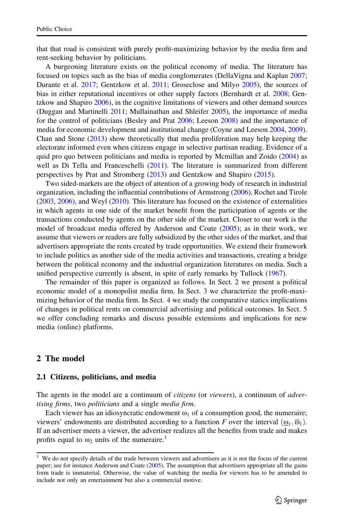that that road is consistent with purely profit-maximizing behavior by the media firm and rent-seeking behavior by politicians.

A burgeoning literature exists on the political economy of media. The literature has focused on topics such as the bias of media conglomerates (DellaVigna and Kaplan [2007;](#page-16-0) Durante et al. [2017;](#page-16-0) Gentzkow et al. [2011](#page-16-0); Groseclose and Milyo [2005](#page-16-0)), the sources of bias in either reputational incentives or other supply factors (Bernhardt et al. [2008;](#page-16-0) Gentzkow and Shapiro [2006](#page-16-0)), in the cognitive limitations of viewers and other demand sources (Duggan and Martinelli [2011](#page-16-0); Mullainathan and Shleifer [2005\)](#page-16-0), the importance of media for the control of politicians (Besley and Prat [2006;](#page-16-0) Leeson [2008\)](#page-16-0) and the importance of media for economic development and institutional change (Coyne and Leeson [2004,](#page-16-0) [2009](#page-16-0)). Chan and Stone ([2013\)](#page-16-0) show theoretically that media proliferation may help keeping the electorate informed even when citizens engage in selective partisan reading. Evidence of a quid pro quo between politicians and media is reported by Mcmillan and Zoido ([2004\)](#page-16-0) as well as Di Tella and Franceschelli [\(2011](#page-16-0)). The literature is summarized from different perspectives by Prat and Stromberg [\(2013\)](#page-16-0) and Gentzkow and Shapiro ([2015\)](#page-16-0).

Two sided-markets are the object of attention of a growing body of research in industrial organization, including the influential contributions of Armstrong [\(2006](#page-16-0)), Rochet and Tirole  $(2003, 2006)$  $(2003, 2006)$  $(2003, 2006)$  $(2003, 2006)$ , and Weyl  $(2010)$  $(2010)$ . This literature has focused on the existence of externalities in which agents in one side of the market benefit from the participation of agents or the transactions conducted by agents on the other side of the market. Closer to our work is the model of broadcast media offered by Anderson and Coate ([2005\)](#page-16-0); as in their work, we assume that viewers or readers are fully subsidized by the other sides of the market, and that advertisers appropriate the rents created by trade opportunities. We extend their framework to include politics as another side of the media activities and transactions, creating a bridge between the political economy and the industrial organization literatures on media. Such a unified perspective currently is absent, in spite of early remarks by Tullock ([1967](#page-17-0)).

The remainder of this paper is organized as follows. In Sect. 2 we present a political economic model of a monopolist media firm. In Sect. [3](#page-8-0) we characterize the profit-maximizing behavior of the media firm. In Sect. [4](#page-11-0) we study the comparative statics implications of changes in political rents on commercial advertising and political outcomes. In Sect. [5](#page-12-0) we offer concluding remarks and discuss possible extensions and implications for new media (online) platforms.

#### 2 The model

#### 2.1 Citizens, politicians, and media

The agents in the model are a continuum of *citizens* (or *viewers*), a continuum of *adver*tising firms, two politicians and a single media firm.

Each viewer has an idiosyncratic endowment  $\omega_1$  of a consumption good, the numeraire; viewers' endowments are distributed according to a function F over the interval  $(\omega_1, \overline{\omega}_1)$ . If an advertiser meets a viewer, the advertiser realizes all the benefits from trade and makes profits equal to  $\omega_2$  units of the numeraire.<sup>1</sup>

<sup>&</sup>lt;sup>1</sup> We do not specify details of the trade between viewers and advertisers as it is not the focus of the current paper; see for instance Anderson and Coate ([2005\)](#page-16-0). The assumption that advertisers appropriate all the gains form trade is immaterial. Otherwise, the value of watching the media for viewers has to be amended to include not only an entertainment but also a commercial motive.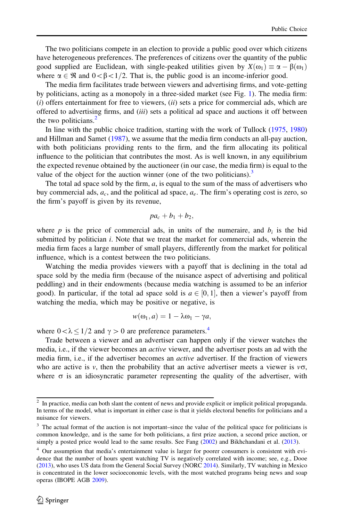The two politicians compete in an election to provide a public good over which citizens have heterogeneous preferences. The preferences of citizens over the quantity of the public good supplied are Euclidean, with single-peaked utilities given by  $X(\omega_1) \equiv \alpha - \beta(\omega_1)$ where  $\alpha \in \mathcal{R}$  and  $0<\beta<1/2$ . That is, the public good is an income-inferior good.

The media firm facilitates trade between viewers and advertising firms, and vote-getting by politicians, acting as a monopoly in a three-sided market (see Fig. [1\)](#page-4-0). The media firm:  $(i)$  offers entertainment for free to viewers,  $(ii)$  sets a price for commercial ads, which are offered to advertising firms, and (iii) sets a political ad space and auctions it off between the two politicians. $<sup>2</sup>$ </sup>

In line with the public choice tradition, starting with the work of Tullock [\(1975](#page-17-0), [1980](#page-17-0)) and Hillman and Samet ([1987](#page-16-0)), we assume that the media firm conducts an all-pay auction, with both politicians providing rents to the firm, and the firm allocating its political influence to the politician that contributes the most. As is well known, in any equilibrium the expected revenue obtained by the auctioneer (in our case, the media firm) is equal to the value of the object for the auction winner (one of the two politicians). $3$ 

The total ad space sold by the firm,  $a$ , is equal to the sum of the mass of advertisers who buy commercial ads,  $a_c$ , and the political ad space,  $a_e$ . The firm's operating cost is zero, so the firm's payoff is given by its revenue,

$$
pa_c+b_1+b_2,
$$

where  $p$  is the price of commercial ads, in units of the numeraire, and  $b_i$  is the bid submitted by politician *i*. Note that we treat the market for commercial ads, wherein the media firm faces a large number of small players, differently from the market for political influence, which is a contest between the two politicians.

Watching the media provides viewers with a payoff that is declining in the total ad space sold by the media firm (because of the nuisance aspect of advertising and political peddling) and in their endowments (because media watching is assumed to be an inferior good). In particular, if the total ad space sold is  $a \in [0, 1]$ , then a viewer's payoff from watching the media, which may be positive or negative, is

$$
w(\omega_1, a) = 1 - \lambda \omega_1 - \gamma a,
$$

where  $0<\lambda \leq 1/2$  and  $\gamma>0$  are preference parameters.<sup>4</sup>

Trade between a viewer and an advertiser can happen only if the viewer watches the media, i.e., if the viewer becomes an active viewer, and the advertiser posts an ad with the media firm, i.e., if the advertiser becomes an *active* advertiser. If the fraction of viewers who are active is  $v$ , then the probability that an active advertiser meets a viewer is  $v\sigma$ , where  $\sigma$  is an idiosyncratic parameter representing the quality of the advertiser, with

 $2$  In practice, media can both slant the content of news and provide explicit or implicit political propaganda. In terms of the model, what is important in either case is that it yields electoral benefits for politicians and a nuisance for viewers.

 $3$  The actual format of the auction is not important–since the value of the political space for politicians is common knowledge, and is the same for both politicians, a first prize auction, a second price auction, or simply a posted price would lead to the same results. See Fang [\(2002\)](#page-16-0) and Bikhchandani et al. ([2013\)](#page-16-0).

<sup>&</sup>lt;sup>4</sup> Our assumption that media's entertainment value is larger for poorer consumers is consistent with evidence that the number of hours spent watching TV is negatively correlated with income; see, e.g., Dooe [\(2013](#page-16-0)), who uses US data from the General Social Survey (NORC [2014\)](#page-16-0). Similarly, TV watching in Mexico is concentrated in the lower socioeconomic levels, with the most watched programs being news and soap operas (IBOPE AGB [2009\)](#page-16-0).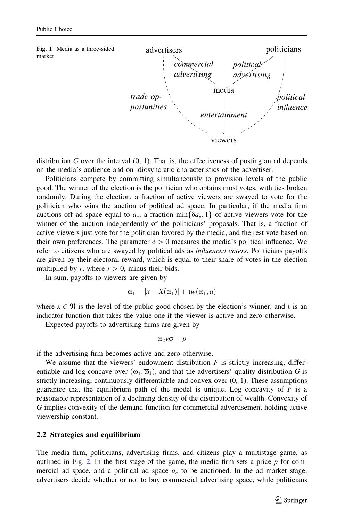<span id="page-4-0"></span>

distribution  $G$  over the interval  $(0, 1)$ . That is, the effectiveness of posting an ad depends on the media's audience and on idiosyncratic characteristics of the advertiser.

Politicians compete by committing simultaneously to provision levels of the public good. The winner of the election is the politician who obtains most votes, with ties broken randomly. During the election, a fraction of active viewers are swayed to vote for the politician who wins the auction of political ad space. In particular, if the media firm auctions off ad space equal to  $a_e$ , a fraction min $\{\delta a_e, 1\}$  of active viewers vote for the winner of the auction independently of the politicians' proposals. That is, a fraction of active viewers just vote for the politician favored by the media, and the rest vote based on their own preferences. The parameter  $\delta > 0$  measures the media's political influence. We refer to citizens who are swayed by political ads as *influenced voters*. Politicians payoffs are given by their electoral reward, which is equal to their share of votes in the election multiplied by r, where  $r > 0$ , minus their bids.

In sum, payoffs to viewers are given by

$$
\omega_1-|x-X(\omega_1)|+w(\omega_1,a)
$$

where  $x \in \mathcal{R}$  is the level of the public good chosen by the election's winner, and i is an indicator function that takes the value one if the viewer is active and zero otherwise.

Expected payoffs to advertising firms are given by

$$
\omega_2 v \sigma - p
$$

if the advertising firm becomes active and zero otherwise.

We assume that the viewers' endowment distribution  $F$  is strictly increasing, differentiable and log-concave over  $(\underline{\omega}_1, \overline{\omega}_1)$ , and that the advertisers' quality distribution G is strictly increasing, continuously differentiable and convex over (0, 1). These assumptions guarantee that the equilibrium path of the model is unique. Log concavity of  $F$  is a reasonable representation of a declining density of the distribution of wealth. Convexity of G implies convexity of the demand function for commercial advertisement holding active viewership constant.

#### 2.2 Strategies and equilibrium

The media firm, politicians, advertising firms, and citizens play a multistage game, as outlined in Fig. [2](#page-5-0). In the first stage of the game, the media firm sets a price  $p$  for commercial ad space, and a political ad space  $a_e$  to be auctioned. In the ad market stage, advertisers decide whether or not to buy commercial advertising space, while politicians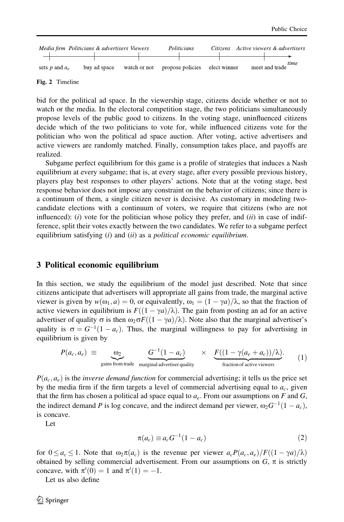<span id="page-5-0"></span>

| Media firm Politicians & advertisers Viewers |              |  |              | Politicians |                               |  |  |  | Citizens Active viewers & advertisers |      |  |
|----------------------------------------------|--------------|--|--------------|-------------|-------------------------------|--|--|--|---------------------------------------|------|--|
| sets p and $a_e$                             | buy ad space |  |              |             | propose policies elect winner |  |  |  | meet and trade                        | time |  |
|                                              |              |  | watch or not |             |                               |  |  |  |                                       |      |  |

Fig. 2 Timeline

bid for the political ad space. In the viewership stage, citizens decide whether or not to watch or the media. In the electoral competition stage, the two politicians simultaneously propose levels of the public good to citizens. In the voting stage, uninfluenced citizens decide which of the two politicians to vote for, while influenced citizens vote for the politician who won the political ad space auction. After voting, active advertisers and active viewers are randomly matched. Finally, consumption takes place, and payoffs are realized.

Subgame perfect equilibrium for this game is a profile of strategies that induces a Nash equilibrium at every subgame; that is, at every stage, after every possible previous history, players play best responses to other players' actions. Note that at the voting stage, best response behavior does not impose any constraint on the behavior of citizens; since there is a continuum of them, a single citizen never is decisive. As customary in modeling twocandidate elections with a continuum of voters, we require that citizens (who are not influenced): (i) vote for the politician whose policy they prefer, and (ii) in case of indifference, split their votes exactly between the two candidates. We refer to a subgame perfect equilibrium satisfying (i) and (ii) as a *political economic equilibrium*.

## 3 Political economic equilibrium

In this section, we study the equilibrium of the model just described. Note that since citizens anticipate that advertisers will appropriate all gains from trade, the marginal active viewer is given by  $w(\omega_1, a) = 0$ , or equivalently,  $\omega_1 = (1 - \gamma a)/\lambda$ , so that the fraction of active viewers in equilibrium is  $F((1 - \gamma a)/\lambda)$ . The gain from posting an ad for an active advertiser of quality  $\sigma$  is then  $\omega_2 \sigma F((1 - \gamma a)/\lambda)$ . Note also that the marginal advertiser's quality is  $\sigma = G^{-1}(1 - a_c)$ . Thus, the marginal willingness to pay for advertising in equilibrium is given by

$$
P(a_c, a_e) \equiv \underbrace{\omega_2}_{\text{gains from trade marginal advertisement}} \underbrace{G^{-1}(1-a_c)}_{\text{marginal advertisement quality}} \times \underbrace{F((1-\gamma(a_e+a_c))/\lambda)}_{\text{fraction of active viewers}}.
$$
 (1)

 $P(a_c, a_e)$  is the *inverse demand function* for commercial advertising; it tells us the price set by the media firm if the firm targets a level of commercial advertising equal to  $a_c$ , given that the firm has chosen a political ad space equal to  $a_e$ . From our assumptions on F and G, the indirect demand P is log concave, and the indirect demand per viewer,  $\omega_2 G^{-1}(1 - a_c)$ , is concave.

Let

$$
\pi(a_c) \equiv a_c G^{-1} (1 - a_c) \tag{2}
$$

for  $0 \le a_c \le 1$ . Note that  $\omega_2 \pi(a_c)$  is the revenue per viewer  $a_cP(a_c, a_e)/F((1 - \gamma a)/\lambda)$ obtained by selling commercial advertisement. From our assumptions on  $G$ ,  $\pi$  is strictly concave, with  $\pi'(0) = 1$  and  $\pi'(1) = -1$ .

Let us also define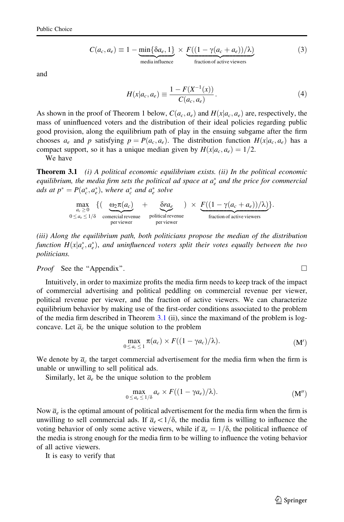$$
C(a_c, a_e) \equiv 1 - \underbrace{\min\{\delta a_e, 1\}}_{\text{medianfluence}} \times \underbrace{F((1 - \gamma(a_c + a_e))/\lambda)}_{\text{fraction of active viewers}} \tag{3}
$$

<span id="page-6-0"></span>and

$$
H(x|a_c, a_e) \equiv \frac{1 - F(X^{-1}(x))}{C(a_c, a_e)}.
$$
 (4)

As shown in the proof of Theorem 1 below,  $C(a_c, a_e)$  and  $H(x|a_c, a_e)$  are, respectively, the mass of uninfluenced voters and the distribution of their ideal policies regarding public good provision, along the equilibrium path of play in the ensuing subgame after the firm chooses  $a_e$  and p satisfying  $p = P(a_c, a_e)$ . The distribution function  $H(x|a_c, a_e)$  has a compact support, so it has a unique median given by  $H(x|a_c, a_e) = 1/2$ .

We have

**Theorem 3.1** (i) A political economic equilibrium exists. (ii) In the political economic equilibrium, the media firm sets the political ad space at  $a_e^*$  and the price for commercial ads at  $p^* = P(a_c^*, a_e^*)$ , where  $a_c^*$  and  $a_e^*$  solve

$$
\max_{a_c \geq 0} \{ (\underbrace{\omega_2 \pi(a_c)}_{0 \leq a_e \leq 1/\delta} + \underbrace{\delta r a_e}_{\text{conercial revenue}}) \times \underbrace{F((1 - \gamma(a_c + a_e))/\lambda)}_{\text{fraction of active viewers}} \}.
$$

(iii) Along the equilibrium path, both politicians propose the median of the distribution function  $H(x|a_c^*,a_e^*)$ , and uninfluenced voters split their votes equally between the two politicians.

*Proof* See the "Appendix".

Intuitively, in order to maximize profits the media firm needs to keep track of the impact of commercial advertising and political peddling on commercial revenue per viewer, political revenue per viewer, and the fraction of active viewers. We can characterize equilibrium behavior by making use of the first-order conditions associated to the problem of the media firm described in Theorem 3.1 (ii), since the maximand of the problem is logconcave. Let  $\overline{a}_c$  be the unique solution to the problem

$$
\max_{0 \le a_c \le 1} \pi(a_c) \times F((1 - \gamma a_c) / \lambda). \tag{M'}
$$

We denote by  $\overline{a}_c$  the target commercial advertisement for the media firm when the firm is unable or unwilling to sell political ads.

Similarly, let  $\bar{a}_{\rho}$  be the unique solution to the problem

$$
\max_{0 \le a_e \le 1/\delta} a_e \times F((1 - \gamma a_e)/\lambda). \tag{M''}
$$

Now  $\overline{a}_e$  is the optimal amount of political advertisement for the media firm when the firm is unwilling to sell commercial ads. If  $\overline{a}_e<1/\delta$ , the media firm is willing to influence the voting behavior of only some active viewers, while if  $\bar{a}_e = 1/\delta$ , the political influence of the media is strong enough for the media firm to be willing to influence the voting behavior of all active viewers.

It is easy to verify that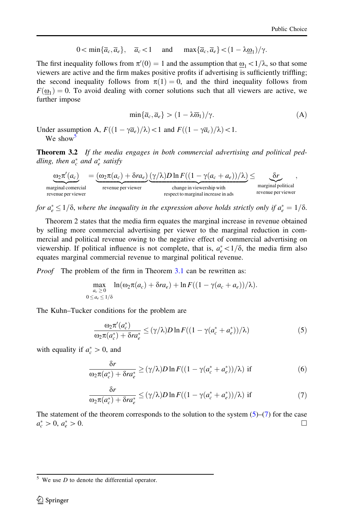$$
0 < \min\{\overline{a}_c, \overline{a}_e\}, \quad \overline{a}_c < 1 \quad \text{ and } \quad \max\{\overline{a}_c, \overline{a}_e\} < (1 - \lambda \underline{\omega}_1) / \gamma.
$$

<span id="page-7-0"></span>The first inequality follows from  $\pi'(0) = 1$  and the assumption that  $\underline{\omega}_1 < 1/\lambda$ , so that some viewers are active and the firm makes positive profits if advertising is sufficiently triffling; the second inequality follows from  $\pi(1)=0$ , and the third inequality follows from  $F(\omega_1) = 0$ . To avoid dealing with corner solutions such that all viewers are active, we further impose

$$
\min\{\overline{a}_c, \overline{a}_e\} > (1 - \lambda \overline{\omega}_1) / \gamma. \tag{A}
$$

Under assumption A,  $F((1 - \gamma \overline{a}_e)/\lambda) < 1$  and  $F((1 - \gamma \overline{a}_c)/\lambda) < 1$ . We show $5$ 

**Theorem 3.2** If the media engages in both commercial advertising and political peddling, then  $a_c^*$  and  $a_e^*$  satisfy

$$
\underbrace{\omega_2 \pi'(a_c)}_{\text{marginal comercial}} = \underbrace{(\omega_2 \pi(a_c) + \delta r a_e)}_{\text{revenue per viewer}} \underbrace{(\gamma/\lambda) D \ln F((1 - \gamma(a_c + a_e))/\lambda)}_{\text{change in viewerhip with}} \leq \underbrace{\delta r}_{\text{marginal political}}_{\text{revenue per viewer}} ,
$$

for  $a_e^* \leq 1/\delta$ , where the inequality in the expression above holds strictly only if  $a_e^* = 1/\delta$ .

Theorem 2 states that the media firm equates the marginal increase in revenue obtained by selling more commercial advertising per viewer to the marginal reduction in commercial and political revenue owing to the negative effect of commercial advertising on viewership. If political influence is not complete, that is,  $a_e^* < 1/\delta$ , the media firm also equates marginal commercial revenue to marginal political revenue.

*Proof* The problem of the firm in Theorem [3.1](#page-6-0) can be rewritten as:

$$
\max_{\substack{a_c \geq 0 \\ 0 \leq a_e \leq 1/\delta}} \ln(\omega_2 \pi(a_c) + \delta r a_e) + \ln F((1 - \gamma(a_c + a_e))/\lambda).
$$

The Kuhn–Tucker conditions for the problem are

$$
\frac{\omega_2 \pi(a_c^*)}{\omega_2 \pi(a_c^*) + \delta r a_e^*} \le (\gamma/\lambda) D \ln F((1 - \gamma(a_c^* + a_e^*))/\lambda)
$$
\n(5)

with equality if  $a_c^* > 0$ , and

$$
\frac{\delta r}{\omega_2 \pi (a_c^*) + \delta r a_e^*} \ge (\gamma/\lambda) D \ln F((1 - \gamma (a_c^* + a_e^*))/\lambda) \text{ if } (6)
$$

$$
\frac{\delta r}{\omega_2 \pi (a_c^*) + \delta r a_e^*} \le (\gamma/\lambda) D \ln F((1 - \gamma (a_c^* + a_e^*))/\lambda) \text{ if } (7)
$$

The statement of the theorem corresponds to the solution to the system  $(5)$ – $(7)$  for the case  $a_c^* > 0, a_e^*$  $e^* > 0.$ 

 $5$  We use  $D$  to denote the differential operator.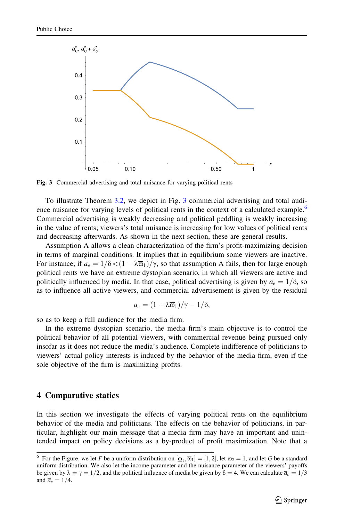<span id="page-8-0"></span>

Fig. 3 Commercial advertising and total nuisance for varying political rents

To illustrate Theorem [3.2,](#page-7-0) we depict in Fig. 3 commercial advertising and total audience nuisance for varying levels of political rents in the context of a calculated example.<sup>6</sup> Commercial advertising is weakly decreasing and political peddling is weakly increasing in the value of rents; viewers's total nuisance is increasing for low values of political rents and decreasing afterwards. As shown in the next section, these are general results.

Assumption A allows a clean characterization of the firm's profit-maximizing decision in terms of marginal conditions. It implies that in equilibrium some viewers are inactive. For instance, if  $\overline{a}_e = 1/\delta \langle 1 - \lambda \overline{\omega}_1 \rangle / \gamma$ , so that assumption A fails, then for large enough political rents we have an extreme dystopian scenario, in which all viewers are active and politically influenced by media. In that case, political advertising is given by  $a_e = 1/\delta$ , so as to influence all active viewers, and commercial advertisement is given by the residual

$$
a_c = (1 - \lambda \overline{\omega}_1)/\gamma - 1/\delta,
$$

so as to keep a full audience for the media firm.

In the extreme dystopian scenario, the media firm's main objective is to control the political behavior of all potential viewers, with commercial revenue being pursued only insofar as it does not reduce the media's audience. Complete indifference of politicians to viewers' actual policy interests is induced by the behavior of the media firm, even if the sole objective of the firm is maximizing profits.

#### 4 Comparative statics

In this section we investigate the effects of varying political rents on the equilibrium behavior of the media and politicians. The effects on the behavior of politicians, in particular, highlight our main message that a media firm may have an important and unintended impact on policy decisions as a by-product of profit maximization. Note that a

<sup>&</sup>lt;sup>6</sup> For the Figure, we let F be a uniform distribution on  $[\underline{\omega}_1, \overline{\omega}_1] = [1, 2]$ , let  $\omega_2 = 1$ , and let G be a standard uniform distribution. We also let the income parameter and the nuisance parameter of the viewers' payoffs be given by  $\lambda = \gamma = 1/2$ , and the political influence of media be given by  $\delta = 4$ . We can calculate  $\overline{a}_c = 1/3$ and  $\overline{a}_e = 1/4$ .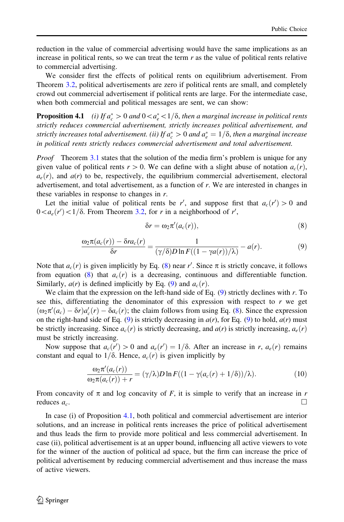<span id="page-9-0"></span>reduction in the value of commercial advertising would have the same implications as an increase in political rents, so we can treat the term  $r$  as the value of political rents relative to commercial advertising.

We consider first the effects of political rents on equilibrium advertisement. From Theorem [3.2](#page-7-0), political advertisements are zero if political rents are small, and completely crowd out commercial advertisement if political rents are large. For the intermediate case, when both commercial and political messages are sent, we can show:

**Proposition 4.1** (i) If  $a_c^* > 0$  and  $0 < a_e^* < 1/\delta$ , then a marginal increase in political rents strictly reduces commercial advertisement, strictly increases political advertisement, and strictly increases total advertisement. (ii) If  $a_c^* > 0$  and  $a_e^* = 1/\delta$ , then a marginal increase in political rents strictly reduces commercial advertisement and total advertisement.

*Proof* Theorem [3.1](#page-6-0) states that the solution of the media firm's problem is unique for any given value of political rents  $r > 0$ . We can define with a slight abuse of notation  $a_c(r)$ ,  $a_e(r)$ , and  $a(r)$  to be, respectively, the equilibrium commercial advertisement, electoral advertisement, and total advertisement, as a function of r. We are interested in changes in these variables in response to changes in  $r$ .

Let the initial value of political rents be r', and suppose first that  $a_c(r') > 0$  and  $0 < a_e(r') < 1/\delta$ . From Theorem [3.2,](#page-7-0) for r in a neighborhood of r',

$$
\delta r = \omega_2 \pi'(a_c(r)),\tag{8}
$$

$$
\frac{\omega_2 \pi (a_c(r)) - \delta r a_c(r)}{\delta r} = \frac{1}{(\gamma/\delta) D \ln F((1 - \gamma a(r))/\lambda)} - a(r). \tag{9}
$$

Note that  $a_c(r)$  is given implicitly by Eq. (8) near r'. Since  $\pi$  is strictly concave, it follows from equation (8) that  $a_c(r)$  is a decreasing, continuous and differentiable function. Similarly,  $a(r)$  is defined implicitly by Eq. (9) and  $a_c(r)$ .

We claim that the expression on the left-hand side of Eq. (9) strictly declines with r. To see this, differentiating the denominator of this expression with respect to  $r$  we get  $(\omega_2 \pi'(a_c) - \delta r) a'_c(r) - \delta a_c(r)$ ; the claim follows from using Eq. (8). Since the expression on the right-hand side of Eq. (9) is strictly decreasing in  $a(r)$ , for Eq. (9) to hold,  $a(r)$  must be strictly increasing. Since  $a_c(r)$  is strictly decreasing, and  $a(r)$  is strictly increasing,  $a_e(r)$ must be strictly increasing.

Now suppose that  $a_c(r') > 0$  and  $a_e(r') = 1/\delta$ . After an increase in r,  $a_e(r)$  remains constant and equal to  $1/\delta$ . Hence,  $a_c(r)$  is given implicitly by

$$
\frac{\omega_2 \pi'(a_c(r))}{\omega_2 \pi(a_c(r)) + r} = (\gamma/\lambda) D \ln F((1 - \gamma(a_c(r) + 1/\delta))/\lambda).
$$
\n(10)

From concavity of  $\pi$  and log concavity of F, it is simple to verify that an increase in r reduces  $a_c$ .

In case (i) of Proposition 4.1, both political and commercial advertisement are interior solutions, and an increase in political rents increases the price of political advertisement and thus leads the firm to provide more political and less commercial advertisement. In case (ii), political advertisement is at an upper bound, influencing all active viewers to vote for the winner of the auction of political ad space, but the firm can increase the price of political advertisement by reducing commercial advertisement and thus increase the mass of active viewers.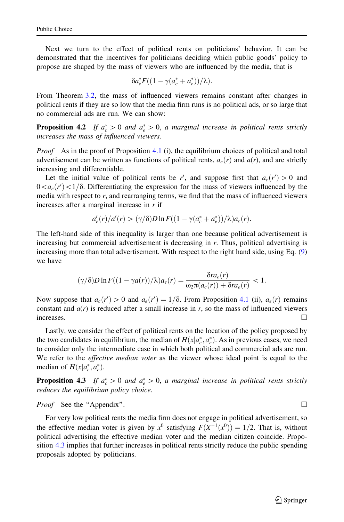<span id="page-10-0"></span>Next we turn to the effect of political rents on politicians' behavior. It can be demonstrated that the incentives for politicians deciding which public goods' policy to propose are shaped by the mass of viewers who are influenced by the media, that is

$$
\delta a_e^* F((1-\gamma(a_c^*+a_e^*))/\lambda).
$$

From Theorem [3.2,](#page-7-0) the mass of influenced viewers remains constant after changes in political rents if they are so low that the media firm runs is no political ads, or so large that no commercial ads are run. We can show:

**Proposition 4.2** If  $a_c^* > 0$  and  $a_e^* > 0$ , a marginal increase in political rents strictly increases the mass of influenced viewers.

*Proof* As in the proof of Proposition [4.1](#page-9-0) (i), the equilibrium choices of political and total advertisement can be written as functions of political rents,  $a_e(r)$  and  $a(r)$ , and are strictly increasing and differentiable.

Let the initial value of political rents be r', and suppose first that  $a_c(r') > 0$  and  $0 < a_e(r') < 1/\delta$ . Differentiating the expression for the mass of viewers influenced by the media with respect to  $r$ , and rearranging terms, we find that the mass of influenced viewers increases after a marginal increase in  $r$  if

$$
a'_e(r)/a'(r) > (\gamma/\delta)D\ln F((1-\gamma(a_c^*+a_e^*))/\lambda)a_e(r).
$$

The left-hand side of this inequality is larger than one because political advertisement is increasing but commercial advertisement is decreasing in r. Thus, political advertising is increasing more than total advertisement. With respect to the right hand side, using Eq. ([9](#page-9-0)) we have

$$
(\gamma/\delta)D\ln F((1-\gamma a(r))/\lambda)a_e(r)=\frac{\delta ra_e(r)}{\omega_2\pi(a_c(r))+\delta ra_e(r)}<1.
$$

Now suppose that  $a_c(r') > 0$  and  $a_e(r') = 1/\delta$ . From Proposition [4.1](#page-9-0) (ii),  $a_e(r)$  remains constant and  $a(r)$  is reduced after a small increase in r, so the mass of influenced viewers  $i$  increases.  $\Box$ 

Lastly, we consider the effect of political rents on the location of the policy proposed by the two candidates in equilibrium, the median of  $H(x|a_c^*, a_e^*)$ . As in previous cases, we need to consider only the intermediate case in which both political and commercial ads are run. We refer to the *effective median voter* as the viewer whose ideal point is equal to the median of  $H(x|a_c^*, a_e^*)$ .

**Proposition 4.3** If  $a_c^* > 0$  and  $a_e^* > 0$ , a marginal increase in political rents strictly reduces the equilibrium policy choice.

*Proof* See the "Appendix".

For very low political rents the media firm does not engage in political advertisement, so the effective median voter is given by  $x^0$  satisfying  $F(X^{-1}(x^0)) = 1/2$ . That is, without political advertising the effective median voter and the median citizen coincide. Proposition 4.3 implies that further increases in political rents strictly reduce the public spending proposals adopted by politicians.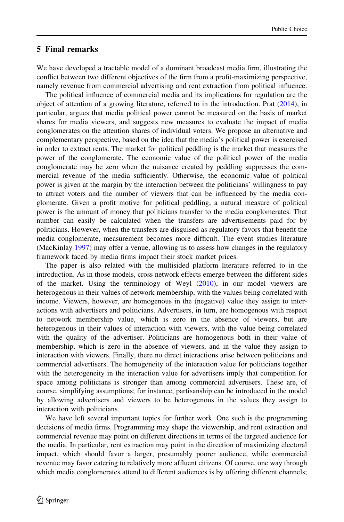## <span id="page-11-0"></span>5 Final remarks

We have developed a tractable model of a dominant broadcast media firm, illustrating the conflict between two different objectives of the firm from a profit-maximizing perspective, namely revenue from commercial advertising and rent extraction from political influence.

The political influence of commercial media and its implications for regulation are the object of attention of a growing literature, referred to in the introduction. Prat  $(2014)$  $(2014)$  $(2014)$ , in particular, argues that media political power cannot be measured on the basis of market shares for media viewers, and suggests new measures to evaluate the impact of media conglomerates on the attention shares of individual voters. We propose an alternative and complementary perspective, based on the idea that the media's political power is exercised in order to extract rents. The market for political peddling is the market that measures the power of the conglomerate. The economic value of the political power of the media conglomerate may be zero when the nuisance created by peddling suppresses the commercial revenue of the media sufficiently. Otherwise, the economic value of political power is given at the margin by the interaction between the politicians' willingness to pay to attract voters and the number of viewers that can be influenced by the media conglomerate. Given a profit motive for political peddling, a natural measure of political power is the amount of money that politicians transfer to the media conglomerates. That number can easily be calculated when the transfers are advertisements paid for by politicians. However, when the transfers are disguised as regulatory favors that benefit the media conglomerate, measurement becomes more difficult. The event studies literature (MacKinlay [1997](#page-16-0)) may offer a venue, allowing us to assess how changes in the regulatory framework faced by media firms impact their stock market prices.

The paper is also related with the multisided platform literature referred to in the introduction. As in those models, cross network effects emerge between the different sides of the market. Using the terminology of Weyl [\(2010\)](#page-17-0), in our model viewers are heterogenous in their values of network membership, with the values being correlated with income. Viewers, however, are homogenous in the (negative) value they assign to interactions with advertisers and politicians. Advertisers, in turn, are homogenous with respect to network membership value, which is zero in the absence of viewers, but are heterogenous in their values of interaction with viewers, with the value being correlated with the quality of the advertiser. Politicians are homogenous both in their value of membership, which is zero in the absence of viewers, and in the value they assign to interaction with viewers. Finally, there no direct interactions arise between politicians and commercial advertisers. The homogeneity of the interaction value for politicians together with the heterogeneity in the interaction value for advertisers imply that competition for space among politicians is stronger than among commercial advertisers. These are, of course, simplifying assumptions; for instance, partisanship can be introduced in the model by allowing advertisers and viewers to be heterogenous in the values they assign to interaction with politicians.

We have left several important topics for further work. One such is the programming decisions of media firms. Programming may shape the viewership, and rent extraction and commercial revenue may point on different directions in terms of the targeted audience for the media. In particular, rent extraction may point in the direction of maximizing electoral impact, which should favor a larger, presumably poorer audience, while commercial revenue may favor catering to relatively more affluent citizens. Of course, one way through which media conglomerates attend to different audiences is by offering different channels;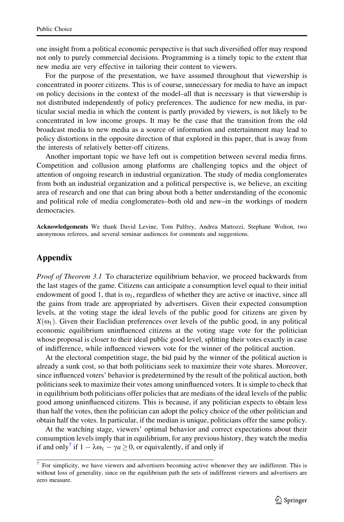<span id="page-12-0"></span>one insight from a political economic perspective is that such diversified offer may respond not only to purely commercial decisions. Programming is a timely topic to the extent that new media are very effective in tailoring their content to viewers.

For the purpose of the presentation, we have assumed throughout that viewership is concentrated in poorer citizens. This is of course, unnecessary for media to have an impact on policy decisions in the context of the model–all that is necessary is that viewership is not distributed independently of policy preferences. The audience for new media, in particular social media in which the content is partly provided by viewers, is not likely to be concentrated in low income groups. It may be the case that the transition from the old broadcast media to new media as a source of information and entertainment may lead to policy distortions in the opposite direction of that explored in this paper, that is away from the interests of relatively better-off citizens.

Another important topic we have left out is competition between several media firms. Competition and collusion among platforms are challenging topics and the object of attention of ongoing research in industrial organization. The study of media conglomerates from both an industrial organization and a political perspective is, we believe, an exciting area of research and one that can bring about both a better understanding of the economic and political role of media conglomerates–both old and new–in the workings of modern democracies.

Acknowledgements We thank David Levine, Tom Palfrey, Andrea Mattozzi, Stephane Wolton, two anonymous referees, and several seminar audiences for comments and suggestions.

### Appendix

Proof of Theorem 3.1 To characterize equilibrium behavior, we proceed backwards from the last stages of the game. Citizens can anticipate a consumption level equal to their initial endowment of good 1, that is  $\omega_1$ , regardless of whether they are active or inactive, since all the gains from trade are appropriated by advertisers. Given their expected consumption levels, at the voting stage the ideal levels of the public good for citizens are given by  $X(\omega_1)$ . Given their Euclidian preferences over levels of the public good, in any political economic equilibrium uninfluenced citizens at the voting stage vote for the politician whose proposal is closer to their ideal public good level, splitting their votes exactly in case of indifference, while influenced viewers vote for the winner of the political auction.

At the electoral competition stage, the bid paid by the winner of the political auction is already a sunk cost, so that both politicians seek to maximize their vote shares. Moreover, since influenced voters' behavior is predetermined by the result of the political auction, both politicians seek to maximize their votes among uninfluenced voters. It is simple to check that in equilibrium both politicians offer policies that are medians of the ideal levels of the public good among uninfluenced citizens. This is because, if any politician expects to obtain less than half the votes, then the politician can adopt the policy choice of the other politician and obtain half the votes. In particular, if the median is unique, politicians offer the same policy.

At the watching stage, viewers' optimal behavior and correct expectations about their consumption levels imply that in equilibrium, for any previous history, they watch the media if and only<sup>7</sup> if  $1 - \lambda \omega_1 - \gamma a \geq 0$ , or equivalently, if and only if

 $<sup>7</sup>$  For simplicity, we have viewers and advertisers becoming active whenever they are indifferent. This is</sup> without loss of generality, since on the equilibrium path the sets of indifferent viewers and advertisers are zero measure.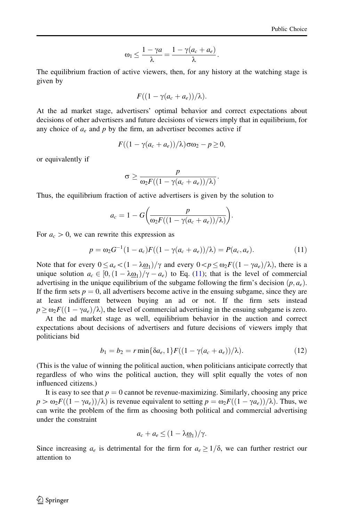$$
\omega_1 \leq \frac{1-\gamma a}{\lambda} = \frac{1-\gamma(a_c+a_e)}{\lambda}.
$$

<span id="page-13-0"></span>The equilibrium fraction of active viewers, then, for any history at the watching stage is given by

$$
F((1-\gamma(a_c+a_e))/\lambda).
$$

At the ad market stage, advertisers' optimal behavior and correct expectations about decisions of other advertisers and future decisions of viewers imply that in equilibrium, for any choice of  $a_e$  and p by the firm, an advertiser becomes active if

$$
F((1-\gamma(a_c+a_e))/\lambda)\sigma\omega_2-p\geq 0,
$$

or equivalently if

$$
\sigma \geq \frac{p}{\omega_2 F((1-\gamma(a_c+a_e))/\lambda)}.
$$

Thus, the equilibrium fraction of active advertisers is given by the solution to

$$
a_c = 1 - G\bigg(\frac{p}{\omega_2 F((1 - \gamma(a_c + a_e))/\lambda)}\bigg).
$$

For  $a_c > 0$ , we can rewrite this expression as

$$
p = \omega_2 G^{-1} (1 - a_c) F((1 - \gamma (a_c + a_e)) / \lambda) = P(a_c, a_e).
$$
 (11)

Note that for every  $0 \le a_e \lt (1 - \lambda \omega_1)/\gamma$  and every  $0 \lt p \le \omega_2F((1 - \gamma a_e)/\lambda)$ , there is a unique solution  $a_c \in [0, (1 - \lambda \omega_1)/\gamma - a_e)$  to Eq. (11); that is the level of commercial advertising in the unique equilibrium of the subgame following the firm's decision  $(p, a_e)$ . If the firm sets  $p = 0$ , all advertisers become active in the ensuing subgame, since they are at least indifferent between buying an ad or not. If the firm sets instead  $p \ge \omega_2 F((1 - \gamma a_e)/\lambda)$ , the level of commercial advertising in the ensuing subgame is zero.

At the ad market stage as well, equilibrium behavior in the auction and correct expectations about decisions of advertisers and future decisions of viewers imply that politicians bid

$$
b_1 = b_2 = r \min{\delta a_e, 1} F((1 - \gamma (a_c + a_e))/\lambda).
$$
 (12)

(This is the value of winning the political auction, when politicians anticipate correctly that regardless of who wins the political auction, they will split equally the votes of non influenced citizens.)

It is easy to see that  $p = 0$  cannot be revenue-maximizing. Similarly, choosing any price  $p > \omega_2F((1 - \gamma a_e))/\lambda$  is revenue equivalent to setting  $p = \omega_2F((1 - \gamma a_e))/\lambda$ . Thus, we can write the problem of the firm as choosing both political and commercial advertising under the constraint

$$
a_c + a_e \leq (1 - \lambda \underline{\omega}_1)/\gamma.
$$

Since increasing  $a_e$  is detrimental for the firm for  $a_e \geq 1/\delta$ , we can further restrict our attention to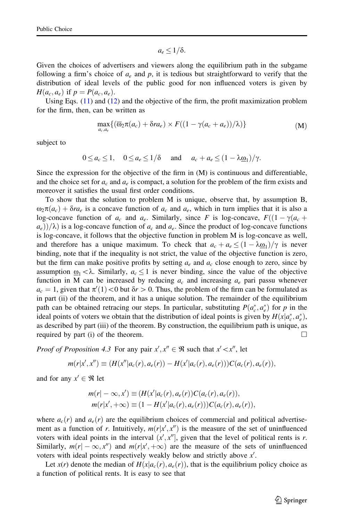$a_e \leq 1/\delta$ .

Given the choices of advertisers and viewers along the equilibrium path in the subgame following a firm's choice of  $a_e$  and p, it is tedious but straightforward to verify that the distribution of ideal levels of the public good for non influenced voters is given by  $H(a_c, a_e)$  if  $p = P(a_c, a_e)$ .

Using Eqs.  $(11)$  $(11)$  and  $(12)$  $(12)$  $(12)$  and the objective of the firm, the profit maximization problem for the firm, then, can be written as

$$
\max_{a_c, a_e} \{ (\overline{\omega}_2 \pi(a_c) + \delta r a_e) \times F((1 - \gamma(a_c + a_e))/\lambda) \}
$$
 (M)

subject to

$$
0 \le a_c \le 1
$$
,  $0 \le a_e \le 1/\delta$  and  $a_c + a_e \le (1 - \lambda \underline{\omega}_1)/\gamma$ .

Since the expression for the objective of the firm in (M) is continuous and differentiable, and the choice set for  $a_c$  and  $a_e$  is compact, a solution for the problem of the firm exists and moreover it satisfies the usual first order conditions.

To show that the solution to problem M is unique, observe that, by assumption B,  $\omega_2\pi(a_c) + \delta r a_e$  is a concave function of  $a_c$  and  $a_e$ , which in turn implies that it is also a log-concave function of  $a_c$  and  $a_e$ . Similarly, since F is log-concave,  $F((1 - \gamma(a_c +$  $(a_e)$  is a log-concave function of  $a_c$  and  $a_e$ . Since the product of log-concave functions is log-concave, it follows that the objective function in problem M is log-concave as well, and therefore has a unique maximum. To check that  $a_c + a_e \leq (1 - \lambda \omega_1)/\gamma$  is never binding, note that if the inequality is not strict, the value of the objective function is zero, but the firm can make positive profits by setting  $a_e$  and  $a_c$  close enough to zero, since by assumption  $\omega_1 < \lambda$ . Similarly,  $a_c \le 1$  is never binding, since the value of the objective function in M can be increased by reducing  $a_c$  and increasing  $a_e$  pari passu whenever  $a_c = 1$ , given that  $\pi'(1) < 0$  but  $\delta r > 0$ . Thus, the problem of the firm can be formulated as in part (ii) of the theorem, and it has a unique solution. The remainder of the equilibrium path can be obtained retracing our steps. In particular, substituting  $P(a_c^*, a_e^*)$  for p in the ideal points of voters we obtain that the distribution of ideal points is given by  $H(x|a_c^*, a_e^*)$ , as described by part (iii) of the theorem. By construction, the equilibrium path is unique, as required by part (i) of the theorem.

*Proof of Proposition 4.3* For any pair  $x', x'' \in \mathcal{R}$  such that  $x' < x''$ , let

$$
m(r|x',x'') \equiv (H(x''|a_c(r),a_e(r)) - H(x'|a_c(r),a_e(r)))C(a_c(r),a_e(r)),
$$

and for any  $x' \in \mathcal{R}$  let

$$
m(r|-\infty,x') \equiv (H(x'|a_c(r),a_e(r))C(a_c(r),a_e(r)),m(r|x',+\infty) \equiv (1 - H(x'|a_c(r),a_e(r)))C(a_c(r),a_e(r)),
$$

where  $a_c(r)$  and  $a_e(r)$  are the equilibrium choices of commercial and political advertisement as a function of r. Intuitively,  $m(r|x', x'')$  is the measure of the set of uninfluenced voters with ideal points in the interval  $(x', x'']$ , given that the level of political rents is r. Similarly,  $m(r| - \infty, x'')$  and  $m(r|x', +\infty)$  are the measure of the sets of uninfluenced voters with ideal points respectively weakly below and strictly above  $x'$ .

Let  $x(r)$  denote the median of  $H(x|a_c(r), a_e(r))$ , that is the equilibrium policy choice as a function of political rents. It is easy to see that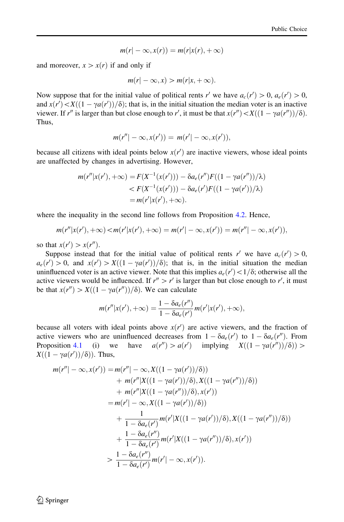$$
m(r|-\infty,x(r))=m(r|x(r),+\infty)
$$

and moreover,  $x > x(r)$  if and only if

$$
m(r|-\infty,x) > m(r|x,+\infty).
$$

Now suppose that for the initial value of political rents r' we have  $a_c(r') > 0$ ,  $a_e(r') > 0$ , and  $x(r') < X((1 - \gamma a(r'))/\delta)$ ; that is, in the initial situation the median voter is an inactive viewer. If r'' is larger than but close enough to r', it must be that  $x(r'') < X((1 - \gamma a(r''))/\delta)$ . Thus,

$$
m(r''| - \infty, x(r')) = m(r'| - \infty, x(r')),
$$

because all citizens with ideal points below  $x(r')$  are inactive viewers, whose ideal points are unaffected by changes in advertising. However,

$$
m(r''|x(r'), +\infty) = F(X^{-1}(x(r'))) - \delta a_e(r'')F((1 - \gamma a(r''))/\lambda)
$$
  
< 
$$
< F(X^{-1}(x(r'))) - \delta a_e(r')F((1 - \gamma a(r'))/\lambda)
$$
  

$$
= m(r'|x(r'), +\infty).
$$

where the inequality in the second line follows from Proposition [4.2](#page-10-0). Hence,

$$
m(r''|x(r'),+\infty) < m(r'|x(r'),+\infty) = m(r'|-\infty,x(r')) = m(r''|-\infty,x(r')),
$$

so that  $x(r') > x(r'')$ .

Suppose instead that for the initial value of political rents r' we have  $a_c(r') > 0$ ,  $a_e(r') > 0$ , and  $x(r') > X((1 - \gamma a(r'))/\delta)$ ; that is, in the initial situation the median uninfluenced voter is an active viewer. Note that this implies  $a_e(r') < 1/\delta$ ; otherwise all the active viewers would be influenced. If  $r'' > r'$  is larger than but close enough to r', it must be that  $x(r'') > X((1 - \gamma a(r''))/\delta)$ . We can calculate

$$
m(r''|x(r'),+\infty) = \frac{1 - \delta a_e(r'')}{1 - \delta a_e(r')} m(r'|x(r'),+\infty),
$$

because all voters with ideal points above  $x(r')$  are active viewers, and the fraction of active viewers who are uninfluenced decreases from  $1 - \delta a_e(r')$  to  $1 - \delta a_e(r'')$ . From Proposition [4.1](#page-9-0) (i) we have  $a(r'') > a(r')$  implying  $X((1 - \gamma a(r''))/\delta))$  $X((1 - \gamma a(r'))/\delta)$ ). Thus,

$$
m(r''|-\infty, x(r')) = m(r''|-\infty, X((1-\gamma a(r'))/\delta))
$$
  
+ 
$$
m(r''|X((1-\gamma a(r'))/\delta), X((1-\gamma a(r''))/\delta))
$$
  
+ 
$$
m(r''|X((1-\gamma a(r''))/\delta), x(r'))
$$
  
= 
$$
m(r'|-\infty, X((1-\gamma a(r'))/\delta))
$$
  
+ 
$$
\frac{1}{1-\delta a_e(r')}m(r'|X((1-\gamma a(r'))/\delta), X((1-\gamma a(r''))/\delta))
$$
  
+ 
$$
\frac{1-\delta a_e(r'')}{1-\delta a_e(r')}m(r'|X((1-\gamma a(r''))/\delta), x(r'))
$$
  
> 
$$
\frac{1-\delta a_e(r'')}{1-\delta a_e(r')}m(r'|-\infty, x(r')).
$$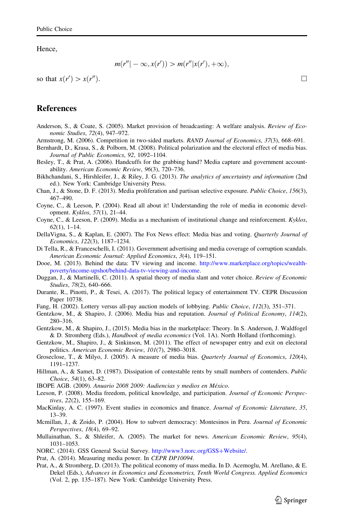<span id="page-16-0"></span>Hence,

$$
m(r''|-\infty, x(r')) > m(r''|x(r'), +\infty),
$$

so that  $x(r') > x(r'')$ .  $\vert > x(r'').$ 

## **References**

- Anderson, S., & Coate, S. (2005). Market provision of broadcasting: A welfare analysis. Review of Economic Studies, 72(4), 947–972.
- Armstrong, M. (2006). Competition in two-sided markets. RAND Journal of Economics, 37(3), 668–691.
- Bernhardt, D., Krasa, S., & Polborn, M. (2008). Political polarization and the electoral effect of media bias. Journal of Public Economics, 92, 1092–1104.
- Besley, T., & Prat, A. (2006). Handcuffs for the grabbing hand? Media capture and government accountability. American Economic Review, 96(3), 720–736.
- Bikhchandani, S., Hirshleifer, J., & Riley, J. G. (2013). The analytics of uncertainty and information (2nd ed.). New York: Cambridge University Press.
- Chan, J., & Stone, D. F. (2013). Media proliferation and partisan selective exposure. Public Choice, 156(3), 467–490.
- Coyne, C., & Leeson, P. (2004). Read all about it! Understanding the role of media in economic development. Kyklos, 57(1), 21–44.
- Coyne, C., & Leeson, P. (2009). Media as a mechanism of institutional change and reinforcement. Kyklos, 62(1), 1–14.
- DellaVigna, S., & Kaplan, E. (2007). The Fox News effect: Media bias and voting. Quarterly Journal of Economics, 122(3), 1187–1234.
- Di Tella, R., & Franceschelli, I. (2011). Government advertising and media coverage of corruption scandals. American Economic Journal: Applied Economics, 3(4), 119–151.
- Dooe, M. (2013). Behind the data: TV viewing and income. [http://www.marketplace.org/topics/wealth](http://www.marketplace.org/topics/wealth-poverty/income-upshot/behind-data-tv-viewing-and-income)[poverty/income-upshot/behind-data-tv-viewing-and-income](http://www.marketplace.org/topics/wealth-poverty/income-upshot/behind-data-tv-viewing-and-income).
- Duggan, J., & Martinelli, C. (2011). A spatial theory of media slant and voter choice. Review of Economic Studies, 78(2), 640–666.
- Durante, R., Pinotti, P., & Tesei, A. (2017). The political legacy of entertainment TV. CEPR Discussion Paper 10738.
- Fang, H. (2002). Lottery versus all-pay auction models of lobbying. Public Choice, 112(3), 351–371.
- Gentzkow, M., & Shapiro, J. (2006). Media bias and reputation. Journal of Political Economy, 114(2), 280–316.
- Gentzkow, M., & Shapiro, J., (2015). Media bias in the marketplace: Theory. In S. Anderson, J. Waldfogel & D. Stromberg (Eds.), Handbook of media economics (Vol. 1A). North Holland (forthcoming).
- Gentzkow, M., Shapiro, J., & Sinkinson, M. (2011). The effect of newspaper entry and exit on electoral politics. American Economic Review, 101(7), 2980–3018.
- Groseclose, T., & Milyo, J. (2005). A measure of media bias. Quarterly Journal of Economics, 120(4), 1191–1237.
- Hillman, A., & Samet, D. (1987). Dissipation of contestable rents by small numbers of contenders. Public Choice, 54(1), 63–82.
- IBOPE AGB. (2009). Anuario 2008 2009: Audiencias y medios en México.
- Leeson, P. (2008). Media freedom, political knowledge, and participation. *Journal of Economic Perspec*tives, 22(2), 155–169.
- MacKinlay, A. C. (1997). Event studies in economics and finance. Journal of Economic Literature, 35, 13–39.
- Mcmillan, J., & Zoido, P. (2004). How to subvert democracy: Montesinos in Peru. Journal of Economic Perspectives, 18(4), 69–92.
- Mullainathan, S., & Shleifer, A. (2005). The market for news. American Economic Review, 95(4), 1031–1053.
- NORC. (2014). GSS General Social Survey. [http://www3.norc.org/GSS](http://www3.norc.org/GSS%2bWebsite/)+Website/.
- Prat, A. (2014). Measuring media power. In CEPR DP10094.
- Prat, A., & Stromberg, D. (2013). The political economy of mass media. In D. Acemoglu, M. Arellano, & E. Dekel (Eds.), Advances in Economics and Econometrics, Tenth World Congress. Applied Economics (Vol. 2, pp. 135–187). New York: Cambridge University Press.